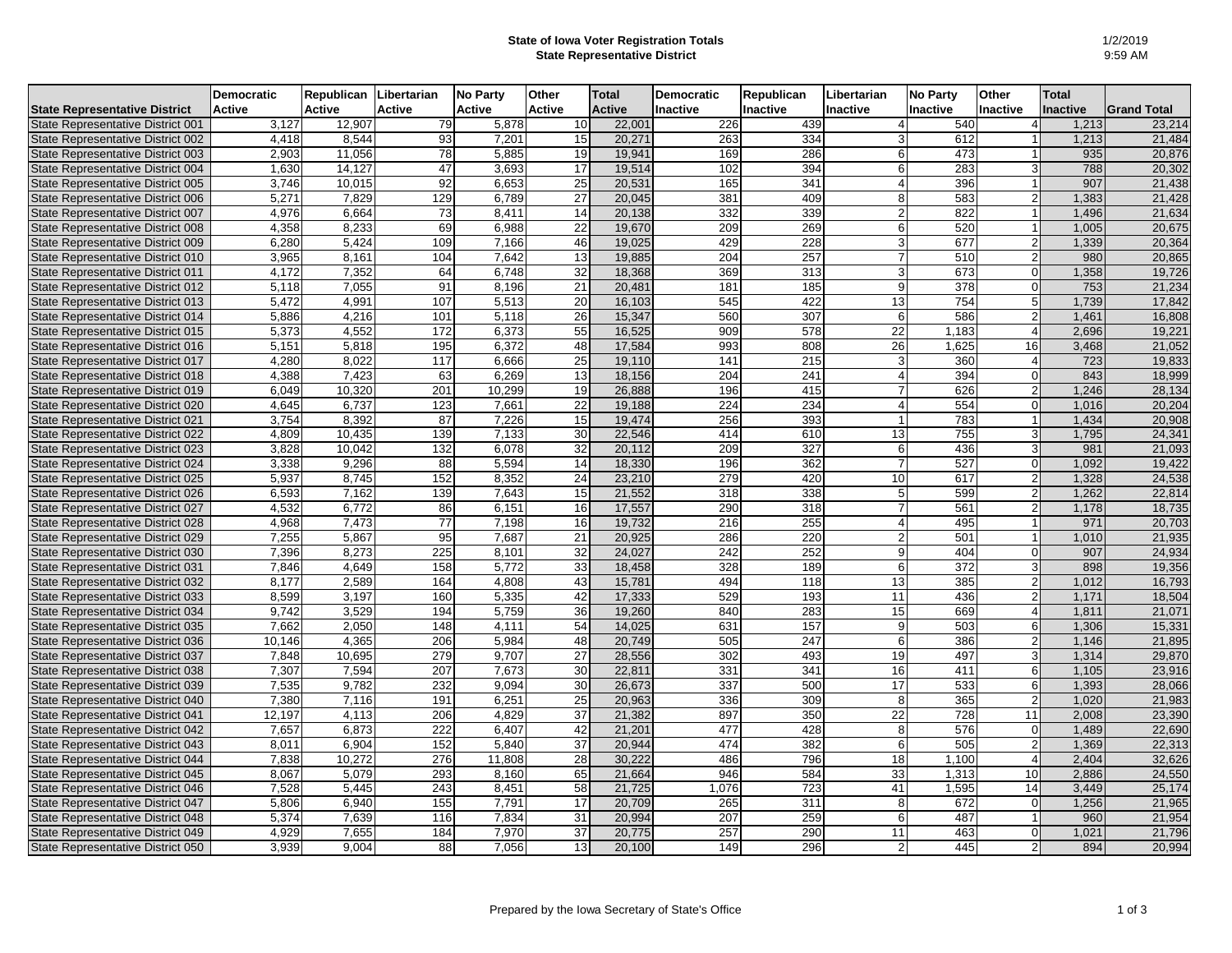## **State of Iowa Voter Registration Totals State Representative District**

|                                      | <b>Democratic</b> | Republican    | Libertarian   | <b>No Party</b> | Other         | <b>Total</b>  | <b>Democratic</b> | Republican       | Libertarian    | <b>No Party</b>  | <b>Other</b>    | <b>Total</b> |                    |
|--------------------------------------|-------------------|---------------|---------------|-----------------|---------------|---------------|-------------------|------------------|----------------|------------------|-----------------|--------------|--------------------|
| <b>State Representative District</b> | <b>Active</b>     | <b>Active</b> | <b>Active</b> | <b>Active</b>   | <b>Active</b> | <b>Active</b> | <b>Inactive</b>   | <b>Inactive</b>  | Inactive       | <b>Inactive</b>  | <b>Inactive</b> | Inactive     | <b>Grand Total</b> |
| State Representative District 001    | 3,127             | 12,907        | 79            | 5,878           | 10            | 22,001        | 226               | 439              |                | 540              | 4               | 1,213        | 23,214             |
| State Representative District 002    | 4,418             | 8,544         | 93            | 7,201           | 15            | 20,271        | 263               | 334              |                | 612              |                 | 1,213        | 21,484             |
| State Representative District 003    | 2,903             | 11,056        | 78            | 5,885           | 19            | 19,941        | 169               | 286              |                | 473              |                 | 935          | 20,876             |
| State Representative District 004    | 1,630             | 14,127        | 47            | 3,693           | 17            | 19,514        | 102               | 394              |                | 283              | зI              | 788          | 20,302             |
| State Representative District 005    | 3,746             | 10,015        | 92            | 6,653           | 25            | 20,531        | 165               | 341              |                | 396              |                 | 907          | 21,438             |
| State Representative District 006    | 5,271             | 7,829         | 129           | 6,789           | 27            | 20,045        | 381               | 409              |                | 583              | $\overline{2}$  | 1,383        | 21,428             |
| State Representative District 007    | 4,976             | 6,664         | 73            | 8,411           | 14            | 20,138        | 332               | 339              |                | 822              |                 | 1,496        | 21,634             |
| State Representative District 008    | 4,358             | 8,233         | 69            | 6,988           | 22            | 19,670        | 209               | 269              |                | 520              |                 | 1,005        | 20,675             |
| State Representative District 009    | 6,280             | 5,424         | 109           | 7,166           | 46            | 19,025        | 429               | 228              |                | 677              | $\overline{2}$  | 1,339        | 20,364             |
| State Representative District 010    | 3,965             | 8,161         | 104           | 7,642           | 13            | 19,885        | 204               | 257              |                | 510              | $\overline{2}$  | 980          | 20,865             |
| State Representative District 011    | 4,172             | 7,352         | 64            | 6,748           | 32            | 18,368        | 369               | $\overline{313}$ |                | 673              | ΩI              | 1,358        | 19,726             |
| State Representative District 012    | 5,118             | 7,055         | 91            | 8,196           | 21            | 20,481        | 181               | 185              |                | 378              | $\Omega$        | 753          | 21,234             |
| State Representative District 013    | 5,472             | 4,991         | 107           | 5,513           | 20            | 16,103        | 545               | 422              | 13             | 754              | $5\vert$        | 1,739        | 17,842             |
| State Representative District 014    | 5,886             | 4,216         | 101           | 5,118           | 26            | 15,347        | 560               | 307              | ี              | 586              | $\overline{2}$  | 1,461        | 16,808             |
| State Representative District 015    | 5,373             | 4,552         | 172           | 6,373           | 55            | 16,525        | 909               | 578              | 22             | 1,183            | $\overline{4}$  | 2,696        | 19,221             |
| State Representative District 016    | 5,151             | 5,818         | 195           | 6,372           | 48            | 17,584        | 993               | 808              | 26             | 1,625            | 16              | 3,468        | 21,052             |
| State Representative District 017    | 4,280             | 8,022         | 117           | 6,666           | 25            | 19,110        | 141               | 215              |                | 360              | 4               | 723          | 19,833             |
| State Representative District 018    | 4,388             | 7,423         | 63            | 6,269           | 13            | 18,156        | 204               | 241              |                | 394              | $\overline{0}$  | 843          | 18,999             |
| State Representative District 019    | 6,049             | 10,320        | 201           | 10,299          | 19            | 26,888        | 196               | 415              |                | 626              | $\overline{2}$  | 1,246        | 28,134             |
| State Representative District 020    | 4,645             | 6,737         | 123           | 7,661           | 22            | 19,188        | 224               | 234              |                | 554              | $\mathsf{O}$    | 1,016        | 20,204             |
| State Representative District 021    | 3,754             | 8,392         | 87            | 7,226           | 15            | 19,474        | 256               | 393              |                | 783              |                 | 1,434        | 20,908             |
| State Representative District 022    | 4,809             | 10,435        | 139           | 7,133           | 30            | 22,546        | 414               | 610              | 13             | 755              | 3               | 1,795        | 24,341             |
| State Representative District 023    | 3,828             | 10,042        | 132           | 6,078           | 32            | 20,112        | 209               | 327              | 6              | 436              | $\overline{3}$  | 981          | 21,093             |
| State Representative District 024    | 3,338             | 9,296         | 88            | 5,594           | 14            | 18,330        | 196               | 362              |                | 527              | 0l              | 1,092        | 19,422             |
| State Representative District 025    | 5,937             | 8,745         | 152           | 8,352           | 24            | 23,210        | 279               | 420              | 10             | 617              | $\overline{2}$  | 1,328        | 24,538             |
| State Representative District 026    | 6,593             | 7,162         | 139           | 7,643           | 15            | 21,552        | 318               | 338              |                | 599              | $\overline{2}$  | 1,262        | 22,814             |
| State Representative District 027    | 4,532             | 6,772         | 86            | 6,151           | 16            | 17,557        | 290               | 318              |                | 561              | $\overline{2}$  | 1,178        | 18,735             |
| State Representative District 028    | 4,968             | 7,473         | 77            | 7,198           | 16            | 19,732        | 216               | 255              |                | 495              |                 | 971          | 20,703             |
| State Representative District 029    | 7,255             | 5,867         | 95            | 7,687           | 21            | 20,925        | 286               | 220              |                | 501              |                 | 1,010        | 21,935             |
| State Representative District 030    | 7,396             | 8,273         | 225           | 8,101           | 32            | 24,027        | 242               | 252              | a              | 404              | 0I              | 907          | 24,934             |
| State Representative District 031    | 7,846             | 4,649         | 158           | 5,772           | 33            | 18,458        | 328               | 189              |                | $\overline{372}$ | $\overline{3}$  | 898          | 19,356             |
| State Representative District 032    | 8,177             | 2,589         | 164           | 4,808           | 43            | 15,781        | 494               | 118              | 13             | 385              | $\overline{2}$  | 1,012        | 16,793             |
| State Representative District 033    | 8,599             | 3,197         | 160           | 5,335           | 42            | 17,333        | 529               | 193              | 11             | 436              | $\overline{2}$  | 1,171        | 18,504             |
| State Representative District 034    | 9,742             | 3,529         | 194           | 5,759           | 36            | 19,260        | 840               | 283              | 15             | 669              | $\overline{4}$  | 1,811        | 21,071             |
| State Representative District 035    | 7,662             | 2,050         | 148           | 4,111           | 54            | 14,025        | 631               | 157              | 9              | 503              | $6 \mid$        | 1,306        | 15,331             |
| State Representative District 036    | 10,146            | 4,365         | 206           | 5,984           | 48            | 20,749        | 505               | 247              | 61             | 386              | $\overline{2}$  | 1,146        | 21,895             |
| State Representative District 037    | 7,848             | 10,695        | 279           | 9,707           | 27            | 28,556        | 302               | 493              | 19             | 497              | $\overline{3}$  | 1,314        | 29,870             |
| State Representative District 038    | 7,307             | 7,594         | 207           | 7,673           | 30            | 22,811        | 331               | 341              | 16             | 411              | $6 \mid$        | 1,105        | 23,916             |
| State Representative District 039    | 7,535             | 9,782         | 232           | 9,094           | 30            | 26,673        | 337               | 500              | 17             | 533              | $6 \mid$        | 1,393        | 28,066             |
| State Representative District 040    | 7,380             | 7,116         | 191           | 6,251           | 25            | 20,963        | 336               | 309              |                | 365              | $\overline{2}$  | 1,020        | 21,983             |
| State Representative District 041    | 12,197            | 4,113         | 206           | 4,829           | 37            | 21,382        | 897               | 350              | 22             | 728              | 11              | 2,008        | 23,390             |
| State Representative District 042    | 7,657             | 6,873         | 222           | 6,407           | 42            | 21,201        | 477               | 428              | 8              | 576              | $\overline{0}$  | 1,489        | 22,690             |
| State Representative District 043    | 8,011             | 6,904         | 152           | 5,840           | 37            | 20,944        | 474               | 382              | 6              | 505              | 2               | 1,369        | 22,313             |
| State Representative District 044    | 7,838             | 10,272        | 276           | 11,808          | 28            | 30,222        | 486               | 796              | 18             | 1,100            | $\overline{4}$  | 2,404        | 32,626             |
| State Representative District 045    | 8,067             | 5,079         | 293           | 8,160           | 65            | 21,664        | 946               | 584              | 33             | 1,313            | 10              | 2,886        | 24,550             |
| State Representative District 046    | 7,528             | 5,445         | 243           | 8,451           | 58            | 21,725        | 1,076             | 723              | 41             | 1,595            | 14              | 3,449        | 25,174             |
| State Representative District 047    | 5,806             | 6,940         | 155           | 7,791           | 17            | 20,709        | 265               | 311              |                | 672              | $\Omega$        | 1,256        | 21,965             |
| State Representative District 048    | 5,374             | 7,639         | 116           | 7,834           | 31            | 20,994        | 207               | 259              | 61             | 487              |                 | 960          | 21,954             |
| State Representative District 049    | 4,929             | 7,655         | 184           | 7,970           | 37            | 20,775        | 257               | 290              | 11             | 463              | 0               | 1,021        | 21,796             |
| State Representative District 050    | 3,939             | 9,004         | 88            | 7,056           | 13            | 20,100        | 149               | 296              | $\overline{2}$ | 445              | 2 <sup>1</sup>  | 894          | 20,994             |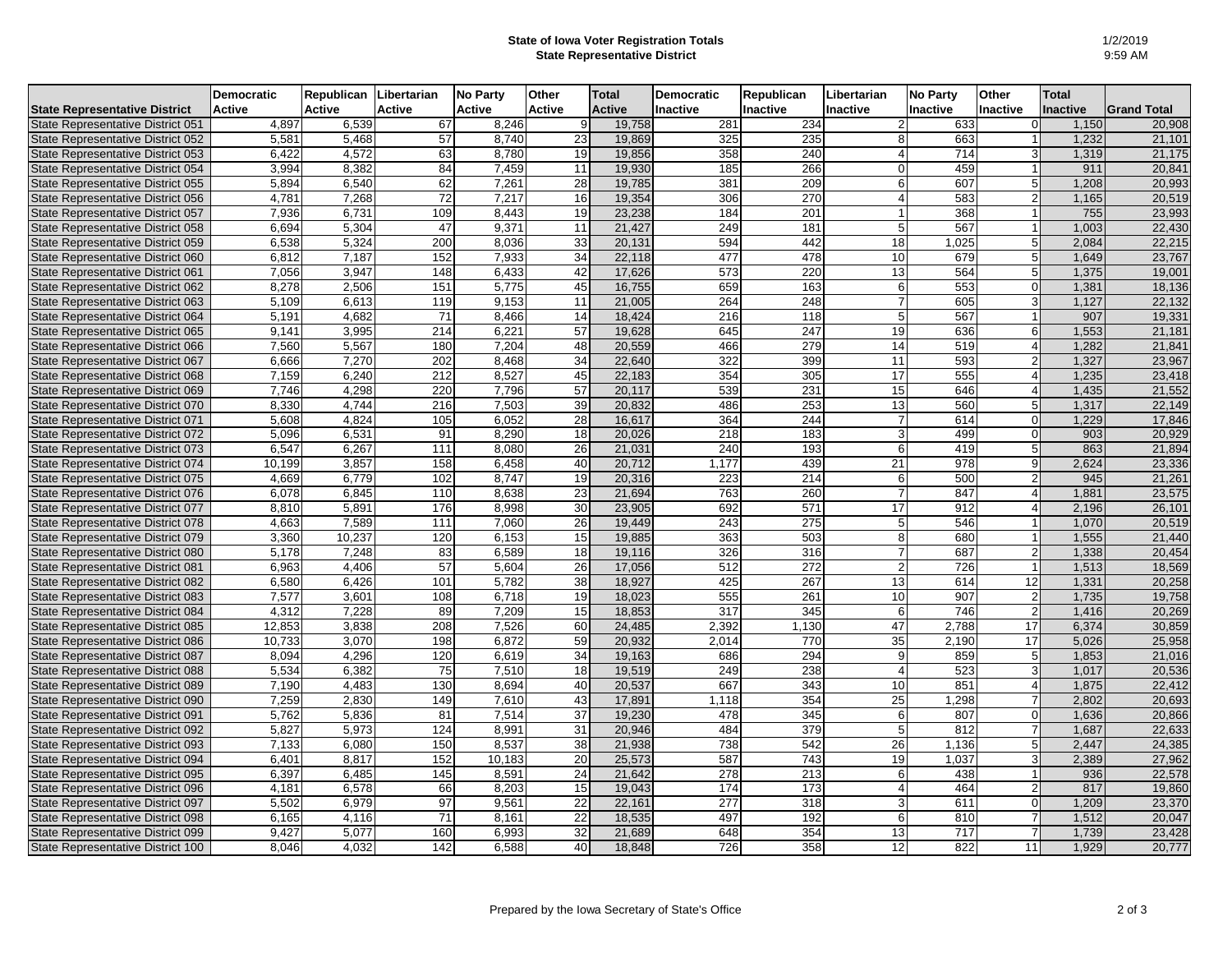## **State of Iowa Voter Registration Totals State Representative District**

|                                          | Democratic    | Republican    | Libertarian   | <b>No Party</b> | <b>Other</b>  | <b>Total</b>  | <b>Democratic</b> | <b>Republican</b> | Libertarian     | <b>No Party</b> | Other           | <b>Total</b>    |                    |
|------------------------------------------|---------------|---------------|---------------|-----------------|---------------|---------------|-------------------|-------------------|-----------------|-----------------|-----------------|-----------------|--------------------|
| State Representative District            | <b>Active</b> | <b>Active</b> | <b>Active</b> | <b>Active</b>   | <b>Active</b> | <b>Active</b> | Inactive          | Inactive          | <b>Inactive</b> | Inactive        | <b>Inactive</b> | <b>Inactive</b> | <b>Grand Total</b> |
| State Representative District 051        | 4,897         | 6,539         | 67            | 8,246           | 9I            | 19,758        | 281               | 234               | 2               | 633             | $\Omega$        | 1,150           | 20,908             |
| State Representative District 052        | 5,581         | 5,468         | 57            | 8,740           | 23            | 19,869        | 325               | 235               | 8 <sup>1</sup>  | 663             |                 | 1,232           | 21,101             |
| State Representative District 053        | 6,422         | 4,572         | 63            | 8,780           | 19            | 19,856        | 358               | 240               |                 | 714             |                 | 1,319           | 21,175             |
| State Representative District 054        | 3,994         | 8,382         | 84            | 7,459           | 11            | 19,930        | 185               | 266               |                 | 459             |                 | 911             | 20,841             |
| State Representative District 055        | 5,894         | 6,540         | 62            | 7,261           | 28            | 19,785        | 381               | 209               |                 | 607             |                 | 1,208           | 20,993             |
| State Representative District 056        | 4,781         | 7,268         | 72            | 7,217           | 16            | 19,354        | 306               | 270               |                 | 583             |                 | 1,165           | 20,519             |
| State Representative District 057        | 7,936         | 6,731         | 109           | 8,443           | 19            | 23,238        | 184               | 201               |                 | 368             |                 | 755             | 23,993             |
| State Representative District 058        | 6,694         | 5,304         | 47            | 9,371           | 11            | 21,427        | 249               | 181               |                 | 567             |                 | 1,003           | 22,430             |
| State Representative District 059        | 6,538         | 5,324         | 200           | 8,036           | 33            | 20,131        | 594               | 442               | 18              | ,025            |                 | 2,084           | 22,215             |
| State Representative District 060        | 6,812         | 7,187         | 152           | 7,933           | 34            | 22,118        | 477               | 478               | 10              | 679             |                 | 1,649           | 23,767             |
| State Representative District 061        | 7,056         | 3,947         | 148           | 6,433           | 42            | 17,626        | $\overline{573}$  | 220               | 13              | 564             |                 | 1,375           | 19,001             |
| State Representative District 062        | 8,278         | 2,506         | 151           | 5,775           | 45            | 16,755        | 659               | 163               | 6               | 553             | ΩI              | 1,381           | 18,136             |
| State Representative District 063        | 5,109         | 6,613         | 119           | 9,153           | 11            | 21,005        | 264               | 248               |                 | 605             |                 | 1,127           | 22,132             |
| State Representative District 064        | 5,191         | 4,682         | 71            | 8,466           | 14            | 18,424        | 216               | 118               | 5               | 567             |                 | 907             | 19,331             |
| State Representative District 065        | 9,141         | 3,995         | 214           | 6,221           | 57            | 19,628        | 645               | 247               | 19              | 636             |                 | 1,553           | 21,181             |
| State Representative District 066        | 7,560         | 5,567         | 180           | 7,204           | 48            | 20,559        | 466               | 279               | 14              | 519             |                 | 1,282           | 21,841             |
| State Representative District 067        | 6,666         | 7,270         | 202           | 8,468           | 34            | 22,640        | $\overline{322}$  | 399               | 11              | 593             | 21              | 1,327           | 23,967             |
| State Representative District 068        | 7,159         | 6,240         | 212           | 8,527           | 45            | 22,183        | 354               | 305               | 17              | 555             |                 | 1,235           | 23,418             |
| State Representative District 069        | 7,746         | 4,298         | 220           | 7,796           | 57            | 20,117        | 539               | 231               | 15              | 646             |                 | 1,435           | 21,552             |
| State Representative District 070        | 8,330         | 4,744         | 216           | 7,503           | 39            | 20,832        | 486               | 253               | 13              | 560             |                 | 1,317           | 22,149             |
| State Representative District 071        | 5,608         | 4,824         | 105           | 6,052           | 28            | 16,617        | 364               | 244               | $\overline{7}$  | 614             | ΩI              | 1,229           | 17,846             |
| <b>State Representative District 072</b> | 5,096         | 6,531         | 91            | 8,290           | 18            | 20,026        | 218               | 183               | 3               | 499             |                 | 903             | 20,929             |
| State Representative District 073        | 6,547         | 6,267         | 111           | 8,080           | 26            | 21,031        | 240               | 193               | 6               | 419             |                 | 863             | 21,894             |
| State Representative District 074        | 10,199        | 3,857         | 158           | 6,458           | 40            | 20,712        | 1,177             | 439               | 21              | 978             | 9I              | 2,624           | 23,336             |
| State Representative District 075        | 4,669         | 6,779         | 102           | 8,747           | 19            | 20,316        | 223               | 214               | 6               | 500             |                 | 945             | 21,261             |
| State Representative District 076        | 6,078         | 6,845         | 110           | 8,638           | 23            | 21,694        | 763               | 260               | $\overline{7}$  | 847             |                 | 1,881           | 23,575             |
| State Representative District 077        | 8,810         | 5,891         | 176           | 8,998           | 30            | 23,905        | 692               | 571               | 17              | 912             |                 | 2,196           | 26,101             |
| State Representative District 078        | 4,663         | 7,589         | 111           | 7,060           | 26            | 19,449        | 243               | 275               | 5               | 546             |                 | 1,070           | 20,519             |
| State Representative District 079        | 3,360         | 10,237        | 120           | 6,153           | 15            | 19,885        | 363               | 503               | 8               | 680             |                 | 1,555           | 21,440             |
| State Representative District 080        | 5,178         | 7,248         | 83            | 6,589           | 18            | 19,116        | 326               | 316               | 7               | 687             | 21              | 1,338           | 20,454             |
| State Representative District 081        | 6,963         | 4,406         | 57            | 5,604           | 26            | 17,056        | 512               | 272               | $\overline{2}$  | 726             |                 | 1,513           | 18,569             |
| State Representative District 082        | 6,580         | 6,426         | 101           | 5,782           | 38            | 18,927        | 425               | 267               | 13              | 614             | 12              | 1,331           | 20,258             |
| State Representative District 083        | 7,577         | 3,601         | 108           | 6,718           | 19            | 18,023        | 555               | 261               | 10              | 907             |                 | 1,735           | 19,758             |
| State Representative District 084        | 4,312         | 7,228         | 89            | 7,209           | 15            | 18,853        | 317               | 345               | 6               | 746             |                 | 1,416           | 20,269             |
| State Representative District 085        | 12,853        | 3,838         | 208           | 7,526           | 60            | 24,485        | 2,392             | 1,130             | 47              | 2,788           | 17              | 6,374           | 30,859             |
| State Representative District 086        | 10,733        | 3,070         | 198           | 6,872           | 59            | 20,932        | 2,014             | 770               | 35              | 2,190           | 17              | 5,026           | 25,958             |
| State Representative District 087        | 8,094         | 4,296         | 120           | 6,619           | 34            | 19,163        | 686               | 294               | 9               | 859             | 5 <sup>1</sup>  | 1,853           | 21,016             |
| State Representative District 088        | 5,534         | 6,382         | 75            | 7,510           | 18            | 19,519        | 249               | 238               |                 | 523             | зI              | 1,017           | 20,536             |
| State Representative District 089        | 7,190         | 4,483         | 130           | 8,694           | 40            | 20,537        | 667               | 343               | 10              | 851             | ΔI              | 1,875           | 22,412             |
| State Representative District 090        | 7,259         | 2,830         | 149           | 7,610           | 43            | 17,891        | 1,118             | 354               | 25              | ,298            |                 | 2,802           | 20,693             |
| State Representative District 091        | 5,762         | 5,836         | 81            | 7,514           | 37            | 19,230        | 478               | 345               |                 | 807             | ΟI              | 1,636           | 20,866             |
| State Representative District 092        | 5,827         | 5,973         | 124           | 8,991           | 31            | 20,946        | 484               | 379               | 5 <sub>l</sub>  | 812             |                 | 1,687           | 22,633             |
| State Representative District 093        | 7,133         | 6,080         | 150           | 8,537           | 38            | 21,938        | 738               | 542               | 26              | 1,136           |                 | 2,447           | 24,385             |
| State Representative District 094        | 6,401         | 8,817         | 152           | 10,183          | 20            | 25,573        | 587               | 743               | 19              | 1,037           | ЗI              | 2,389           | 27,962             |
| State Representative District 095        | 6,397         | 6,485         | 145           | 8,591           | 24            | 21,642        | 278               | 213               | 6               | 438             |                 | 936             | 22,578             |
| State Representative District 096        | 4,181         | 6,578         | 66            | 8,203           | 15            | 19,043        | 174               | $\overline{173}$  |                 | 464             |                 | 817             | 19,860             |
| State Representative District 097        | 5,502         | 6,979         | 97            | 9,561           | 22            | 22,161        | 277               | 318               | 3               | 611             |                 | 1,209           | 23,370             |
| State Representative District 098        | 6,165         | 4,116         | 71            | 8,161           | 22            | 18,535        | 497               | 192               | 6               | 810             |                 | 1,512           | 20,047             |
| State Representative District 099        | 9,427         | 5,077         | 160           | 6,993           | 32            | 21,689        | 648               | 354               | 13              | 717             |                 | 1,739           | 23,428             |
| State Representative District 100        | 8,046         | 4,032         | 142           | 6,588           | 40            | 18,848        | 726               | 358               | 12              | 822             | 11              | 1,929           | 20,777             |